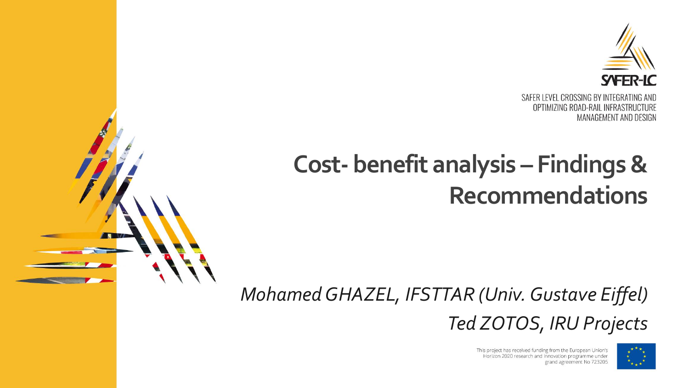

### **Cost- benefit analysis – Findings& Recommendations**



This project has received funding from the European Union's Horizon 2020 research and innovation programme under grand agreement No 723205

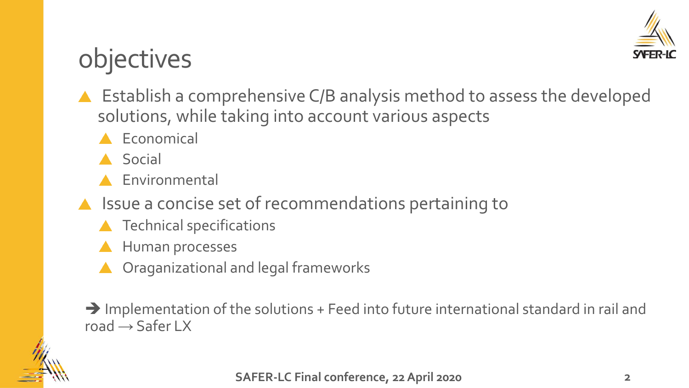

## objectives

- ▲ Establish a comprehensive C/B analysis method to assess the developed solutions, while taking into account various aspects
	- Economical
	- **A** Social
	- **A** Environmental
- $\triangle$  Issue a concise set of recommendations pertaining to
	- **A** Technical specifications
	- **A** Human processes
	- Oraganizational and legal frameworks

➔ Implementation of the solutions + Feed into future international standard in rail and road  $\rightarrow$  Safer LX

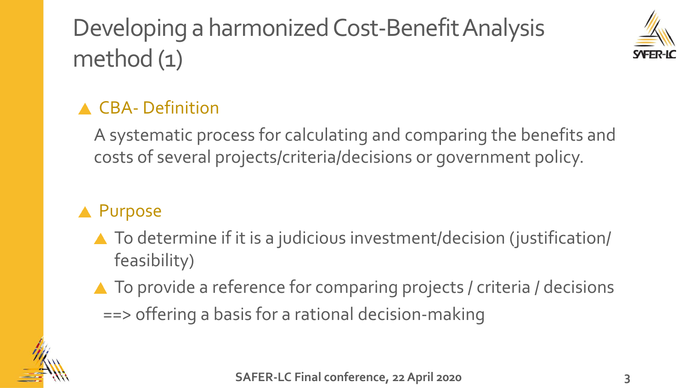## Developing a harmonized Cost-Benefit Analysis method (1)



### **A CBA- Definition**

A systematic process for calculating and comparing the benefits and costs of several projects/criteria/decisions or government policy.

### **A** Purpose

- ▲ To determine if it is a judicious investment/decision (justification/ feasibility)
- ▲ To provide a reference for comparing projects / criteria / decisions ==> offering a basis for a rational decision-making

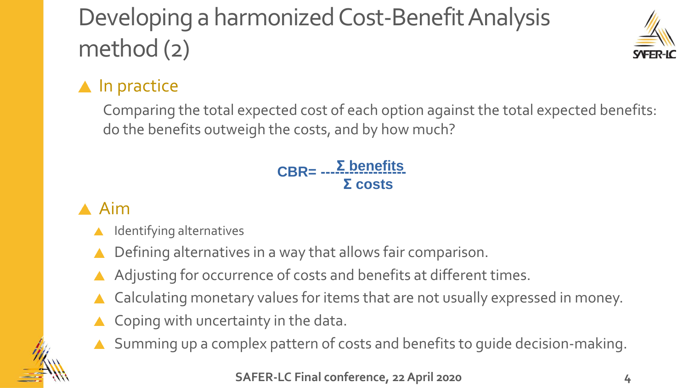# Developing a harmonized Cost-Benefit Analysis method (2)



### $\blacktriangle$  In practice

Comparing the total expected cost of each option against the total expected benefits: do the benefits outweigh the costs, and by how much?

#### **Σ benefits Σ costs** <u> CBR= --- <u>-- penerits</u></u>

### A Aim

- Identifying alternatives
- Defining alternatives in a way that allows fair comparison.
- Adjusting for occurrence of costs and benefits at different times.
- Calculating monetary values for items that are not usually expressed in money.
- ▲ Coping with uncertainty in the data.
- Summing up a complex pattern of costs and benefits to guide decision-making.

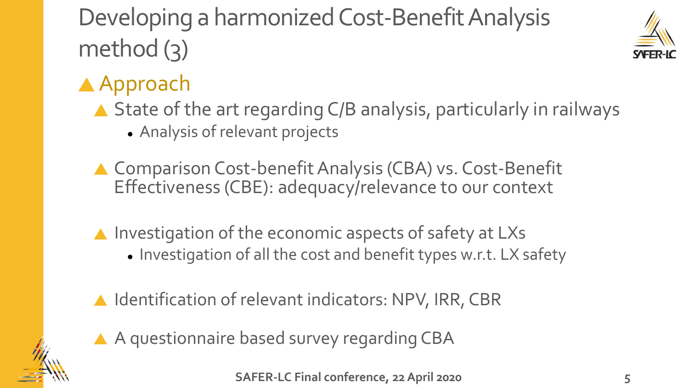# Developing a harmonized Cost-Benefit Analysis method (3)



### ▲ Approach

- ▲ State of the art regarding C/B analysis, particularly in railways
	- ⚫ Analysis of relevant projects
- ▲ Comparison Cost-benefit Analysis (CBA) vs. Cost-Benefit Effectiveness (CBE): adequacy/relevance to our context
- $\triangle$  Investigation of the economic aspects of safety at LXs ⚫ Investigation of all the cost and benefit types w.r.t. LX safety
- ▲ Identification of relevant indicators: NPV, IRR, CBR



A A questionnaire based survey regarding CBA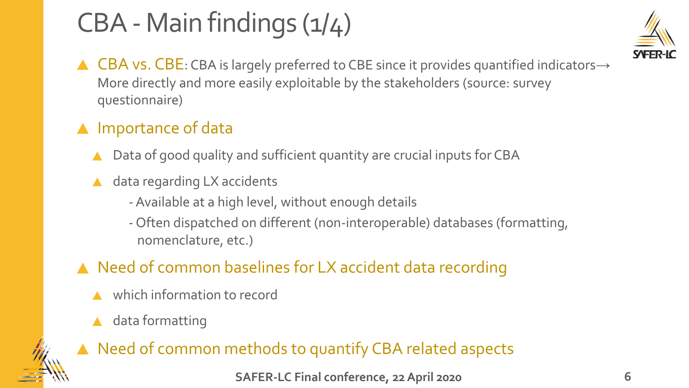# CBA - Main findings (1/4)



▲ CBA vs. CBE: CBA is largely preferred to CBE since it provides quantified indicators→ More directly and more easily exploitable by the stakeholders (source: survey questionnaire)

### A Importance of data

- Data of good quality and sufficient quantity are crucial inputs for CBA
- data regarding LX accidents
	- -Available at a high level, without enough details
	- Often dispatched on different (non-interoperable) databases (formatting, nomenclature, etc.)

### ▲ Need of common baselines for LX accident data recording

- which information to record
- data formatting

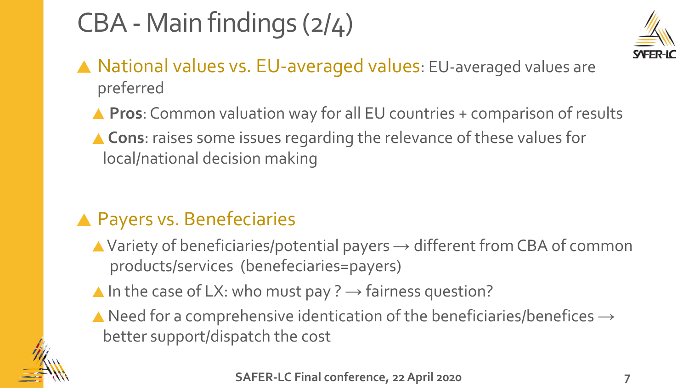# CBA - Main findings (2/4)



- ▲ National values vs. EU-averaged values: EU-averaged values are preferred
	- ▲ Pros: Common valuation way for all EU countries + comparison of results
	- ▲ Cons: raises some issues regarding the relevance of these values for local/national decision making

### **A Payers vs. Benefeciaries**

- $\blacktriangle$  Variety of beneficiaries/potential payers  $\rightarrow$  different from CBA of common products/services (benefeciaries=payers)
- $\blacktriangle$  In the case of LX: who must pay ?  $\rightarrow$  fairness question?
- $\blacktriangle$  Need for a comprehensive identication of the beneficiaries/benefices  $\rightarrow$ better support/dispatch the cost

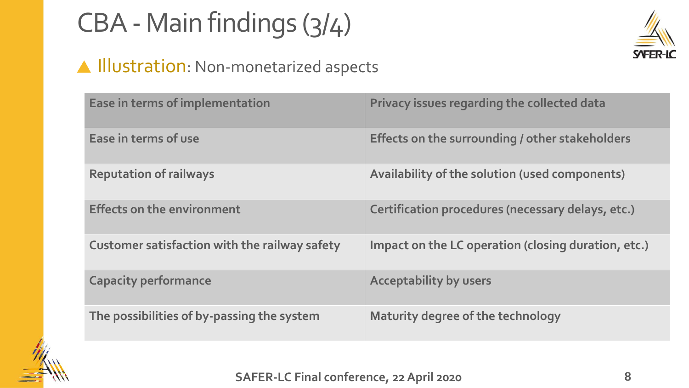# CBA - Main findings (3/4)



### **A Illustration**: Non-monetarized aspects

| Ease in terms of implementation                      | Privacy issues regarding the collected data         |
|------------------------------------------------------|-----------------------------------------------------|
| Ease in terms of use                                 | Effects on the surrounding / other stakeholders     |
| <b>Reputation of railways</b>                        | Availability of the solution (used components)      |
| <b>Effects on the environment</b>                    | Certification procedures (necessary delays, etc.)   |
| <b>Customer satisfaction with the railway safety</b> | Impact on the LC operation (closing duration, etc.) |
| <b>Capacity performance</b>                          | <b>Acceptability by users</b>                       |
| The possibilities of by-passing the system           | Maturity degree of the technology                   |

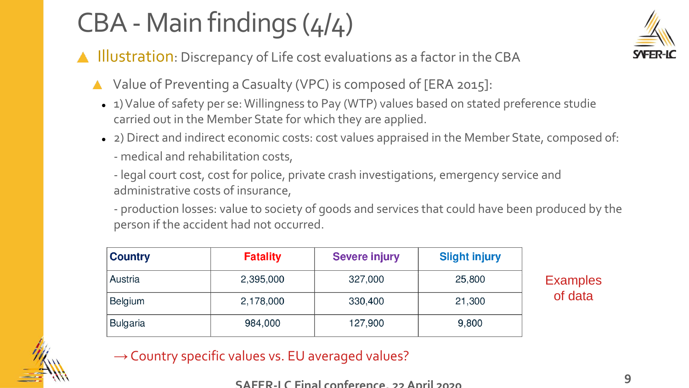# CBA - Main findings (4/4)

- **A** Illustration: Discrepancy of Life cost evaluations as a factor in the CBA
	- ▲ Value of Preventing a Casualty (VPC) is composed of [ERA 2015]:
		- ⚫ 1) Value of safety per se: Willingness to Pay (WTP) values based on stated preference studie carried out in the Member State for which they are applied.
		- ⚫ 2) Direct and indirect economic costs: cost values appraised in the Member State, composed of:
			- medical and rehabilitation costs,
			- legal court cost, cost for police, private crash investigations, emergency service and administrative costs of insurance,

- production losses: value to society of goods and services that could have been produced by the person if the accident had not occurred.

| <b>Country</b>  | <b>Fatality</b> | <b>Severe injury</b> | <b>Slight injury</b> |
|-----------------|-----------------|----------------------|----------------------|
| Austria         | 2,395,000       | 327,000              | 25,800               |
| <b>Belgium</b>  | 2,178,000       | 330,400              | 21,300               |
| <b>Bulgaria</b> | 984,000         | 127,900              | 9,800                |

### $\rightarrow$  Country specific values vs. EU averaged values?

**Examples** 

of data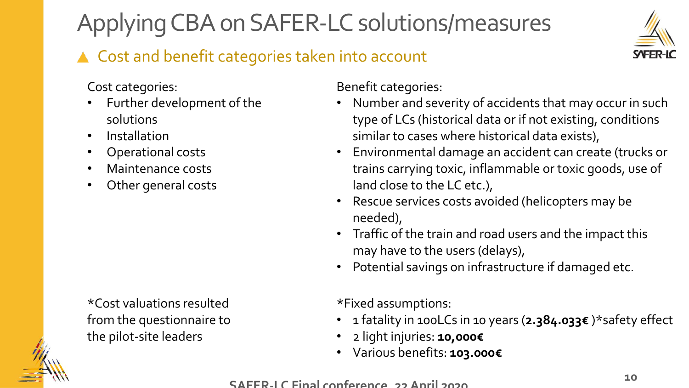# Applying CBA on SAFER-LC solutions/measures

### ▲ Cost and benefit categories taken into account



Cost categories:

- Further development of the solutions
- Installation
- Operational costs
- Maintenance costs
- Other general costs

\*Cost valuations resulted from the questionnaire to the pilot-site leaders

Benefit categories:

- Number and severity of accidents that may occur in such type of LCs (historical data or if not existing, conditions similar to cases where historical data exists),
- Environmental damage an accident can create (trucks or trains carrying toxic, inflammable or toxic goods, use of land close to the LC etc.),
- Rescue services costs avoided (helicopters may be needed),
- Traffic of the train and road users and the impact this may have to the users (delays),
- Potential savings on infrastructure if damaged etc.

\*Fixed assumptions:

- 1 fatality in 100LCs in 10 years (**2.384.033€** )\*safety effect
- 2 light injuries: **10,000€**
- Various benefits: **103.000€**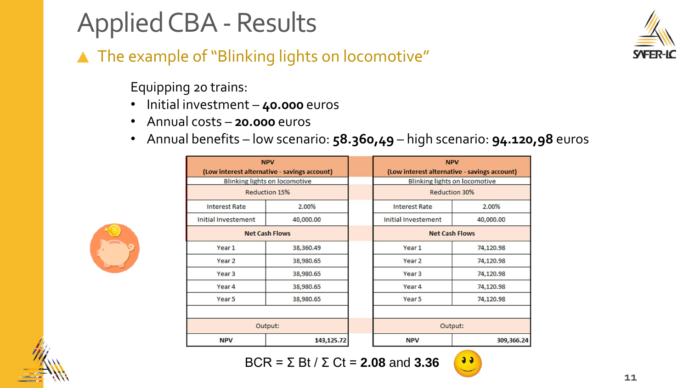# Applied CBA - Results

### ▲ The example of "Blinking lights on locomotive"

Equipping 20 trains:

- Initial investment **40.000** euros
- Annual costs **20.000** euros
- Annual benefits low scenario: **58.360,49** high scenario: **94.120,98** euros



| <b>NPV</b>                                   |                       |                                  | <b>NPV</b>                                   |  |  |
|----------------------------------------------|-----------------------|----------------------------------|----------------------------------------------|--|--|
| (Low interest alternative - savings account) |                       |                                  | (Low interest alternative - savings account) |  |  |
| <b>Blinking lights on locomotive</b>         |                       |                                  | <b>Blinking lights on locomotive</b>         |  |  |
|                                              | <b>Reduction 15%</b>  |                                  | <b>Reduction 30%</b>                         |  |  |
| <b>Interest Rate</b>                         | 2.00%                 | <b>Interest Rate</b>             | 2.00%                                        |  |  |
| Initial Investement                          | 40,000.00             | Initial Investement<br>40,000.00 |                                              |  |  |
|                                              | <b>Net Cash Flows</b> |                                  | <b>Net Cash Flows</b>                        |  |  |
| Year 1                                       | 38,360.49             | Year 1                           | 74,120.98                                    |  |  |
| Year <sub>2</sub>                            | 38,980.65             | Year <sub>2</sub>                | 74,120.98                                    |  |  |
| Year <sub>3</sub>                            | 38,980.65             | Year <sub>3</sub>                | 74,120.98                                    |  |  |
| Year <sub>4</sub>                            | 38,980.65             | Year 4                           | 74,120.98                                    |  |  |
| Year 5                                       | 38,980.65             | Year <sub>5</sub>                | 74,120.98                                    |  |  |
|                                              |                       |                                  |                                              |  |  |
|                                              | Output:               |                                  | Output:                                      |  |  |
| <b>NPV</b>                                   | 143, 125. 72          | <b>NPV</b>                       | 309,366.2                                    |  |  |
|                                              |                       |                                  |                                              |  |  |







 $99$ 

**11**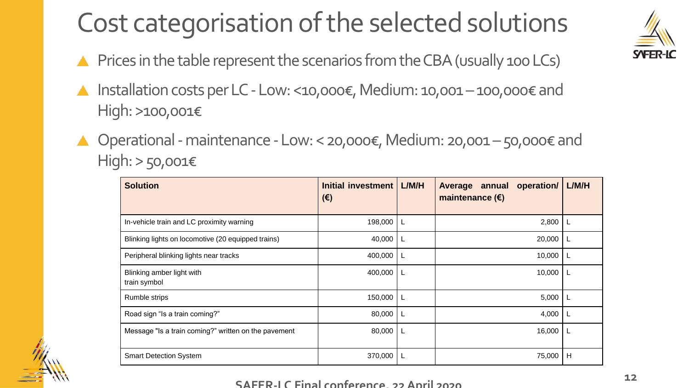# Cost categorisation of the selected solutions

- $\triangle$  Prices in the table represent the scenarios from the CBA (usually 100 LCs)
- Installation costs per LC Low: <10,000€, Medium: 10,001 100,000€ and  $\blacktriangle$ High: >100,001€
- Operational-maintenance -Low: < 20,000€, Medium: 20,001 –50,000€ and High: > 50,001€

| <b>Solution</b>                                      | Initial investment<br>$(\epsilon)$ | L/M/H | operation/<br>Average annual<br>maintenance $(\epsilon)$ | L/M/H |
|------------------------------------------------------|------------------------------------|-------|----------------------------------------------------------|-------|
| In-vehicle train and LC proximity warning            | 198,000                            |       | 2,800                                                    | L     |
| Blinking lights on locomotive (20 equipped trains)   | 40,000                             |       | 20,000                                                   |       |
| Peripheral blinking lights near tracks               | 400,000                            |       | 10,000                                                   |       |
| Blinking amber light with<br>train symbol            | 400,000                            |       | 10,000                                                   |       |
| Rumble strips                                        | 150,000                            |       | 5,000                                                    |       |
| Road sign "Is a train coming?"                       | 80,000                             |       | 4,000                                                    |       |
| Message "Is a train coming?" written on the pavement | 80,000                             |       | 16,000                                                   |       |
| <b>Smart Detection System</b>                        | 370,000                            |       | 75,000                                                   | H     |

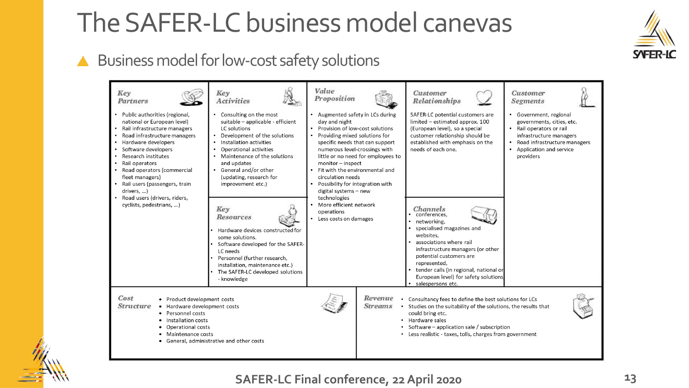## The SAFER-LC business model canevas

### A Business model for low-cost safety solutions



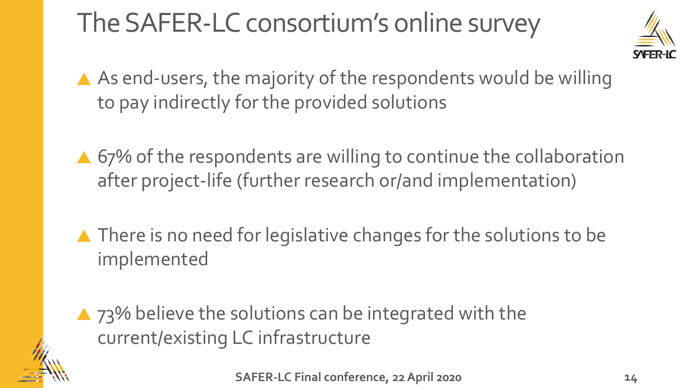# The SAFER-LC consortium's online survey



- A As end-users, the majority of the respondents would be willing to pay indirectly for the provided solutions
- ▲ 67% of the respondents are willing to continue the collaboration after project-life (further research or/and implementation)
- ▲ There is no need for legislative changes for the solutions to be implemented

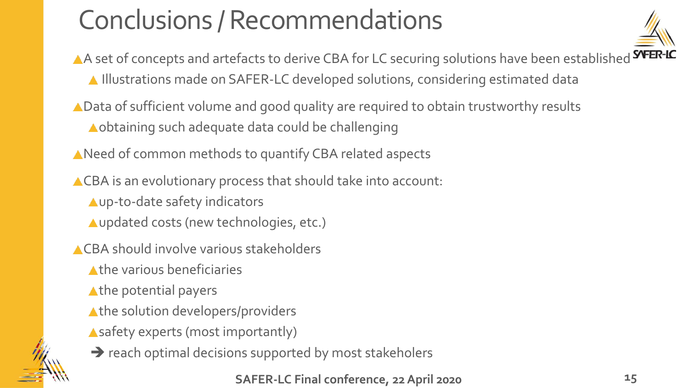# Conclusions / Recommendations



- A set of concepts and artefacts to derive CBA for LC securing solutions have been established **SYFER-IC** Illustrations made on SAFER-LC developed solutions, considering estimated data
- ▲ Data of sufficient volume and good quality are required to obtain trustworthy results Aobtaining such adequate data could be challenging
- A Need of common methods to quantify CBA related aspects
- ACBA is an evolutionary process that should take into account:
	- up-to-date safety indicators
	- Aupdated costs (new technologies, etc.)
- CBA should involve various stakeholders
	- A the various beneficiaries
	- Athe potential payers
	- A the solution developers/providers
	- Asafety experts (most importantly)



**→** reach optimal decisions supported by most stakeholers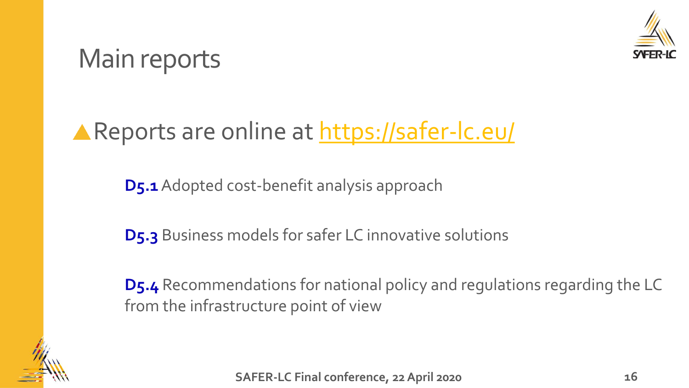

### Main reports

### **A Reports are online at <https://safer-lc.eu/>**

**D5.1**Adopted cost-benefit analysis approach

**D5.3** Business models for safer LC innovative solutions

**D5.4** Recommendations for national policy and regulations regarding the LC from the infrastructure point of view